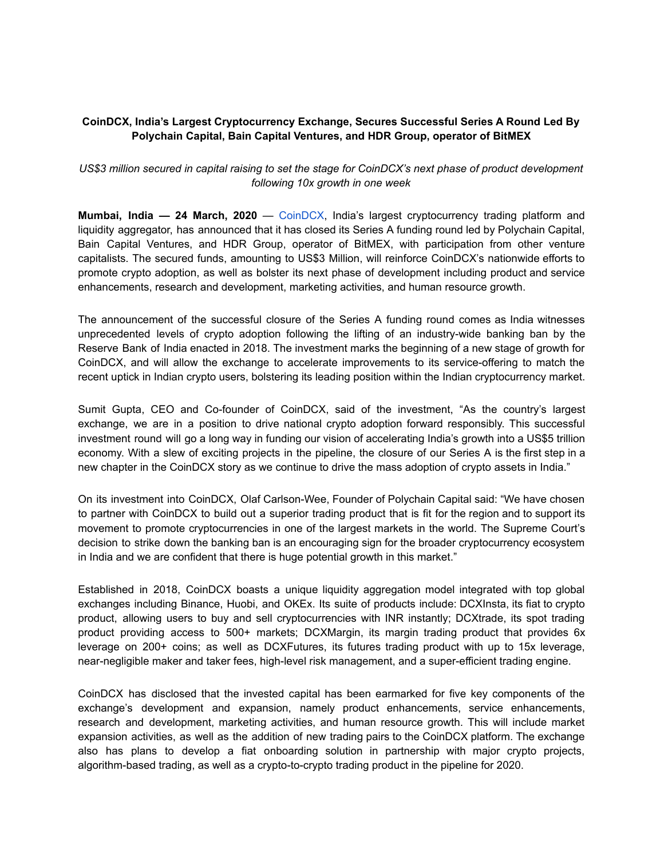## **CoinDCX, India's Largest Cryptocurrency Exchange, Secures Successful Series A Round Led By Polychain Capital, Bain Capital Ventures, and HDR Group, operator of BitMEX**

## *US\$3 million secured in capital raising to set the stage for CoinDCX's next phase of product development following 10x growth in one week*

**Mumbai, India — 24 March, 2020** — CoinDCX, India's largest cryptocurrency trading platform and liquidity aggregator, has announced that it has closed its Series A funding round led by Polychain Capital, Bain Capital Ventures, and HDR Group, operator of BitMEX, with participation from other venture capitalists. The secured funds, amounting to US\$3 Million, will reinforce CoinDCX's nationwide efforts to promote crypto adoption, as well as bolster its next phase of development including product and service enhancements, research and development, marketing activities, and human resource growth.

The announcement of the successful closure of the Series A funding round comes as India witnesses unprecedented levels of crypto adoption following the lifting of an industry-wide banking ban by the Reserve Bank of India enacted in 2018. The investment marks the beginning of a new stage of growth for CoinDCX, and will allow the exchange to accelerate improvements to its service-offering to match the recent uptick in Indian crypto users, bolstering its leading position within the Indian cryptocurrency market.

Sumit Gupta, CEO and Co-founder of CoinDCX, said of the investment, "As the country's largest exchange, we are in a position to drive national crypto adoption forward responsibly. This successful investment round will go a long way in funding our vision of accelerating India's growth into a US\$5 trillion economy. With a slew of exciting projects in the pipeline, the closure of our Series A is the first step in a new chapter in the CoinDCX story as we continue to drive the mass adoption of crypto assets in India."

On its investment into CoinDCX, Olaf Carlson-Wee, Founder of Polychain Capital said: "We have chosen to partner with CoinDCX to build out a superior trading product that is fit for the region and to support its movement to promote cryptocurrencies in one of the largest markets in the world. The Supreme Court's decision to strike down the banking ban is an encouraging sign for the broader cryptocurrency ecosystem in India and we are confident that there is huge potential growth in this market."

Established in 2018, CoinDCX boasts a unique liquidity aggregation model integrated with top global exchanges including Binance, Huobi, and OKEx. Its suite of products include: DCXInsta, its fiat to crypto product, allowing users to buy and sell cryptocurrencies with INR instantly; DCXtrade, its spot trading product providing access to 500+ markets; DCXMargin, its margin trading product that provides 6x leverage on 200+ coins; as well as DCXFutures, its futures trading product with up to 15x leverage, near-negligible maker and taker fees, high-level risk management, and a super-efficient trading engine.

CoinDCX has disclosed that the invested capital has been earmarked for five key components of the exchange's development and expansion, namely product enhancements, service enhancements, research and development, marketing activities, and human resource growth. This will include market expansion activities, as well as the addition of new trading pairs to the CoinDCX platform. The exchange also has plans to develop a fiat onboarding solution in partnership with major crypto projects, algorithm-based trading, as well as a crypto-to-crypto trading product in the pipeline for 2020.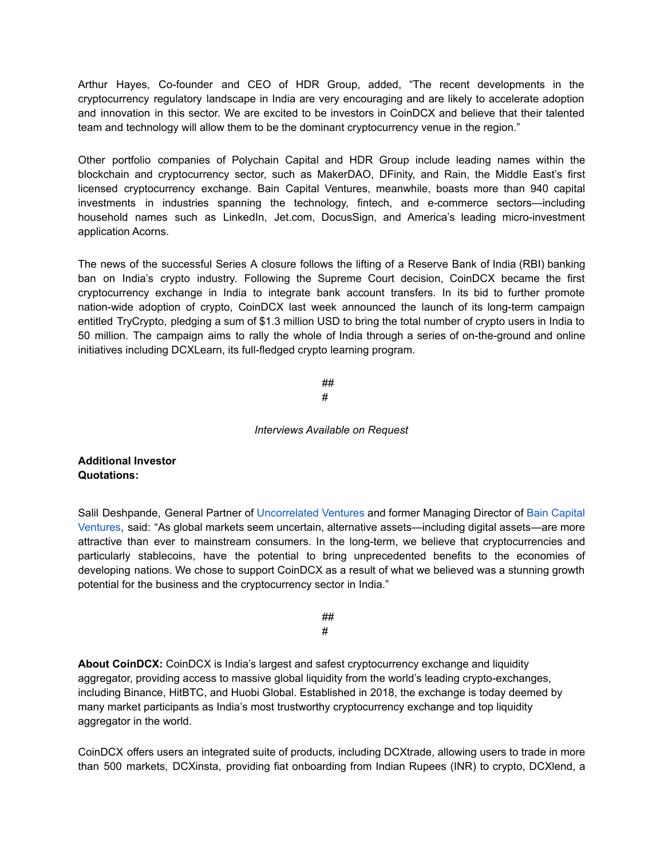Arthur Hayes, Co-founder and CEO of HDR Group, added, "The recent developments in the cryptocurrency regulatory landscape in India are very encouraging and are likely to accelerate adoption and innovation in this sector. We are excited to be investors in CoinDCX and believe that their talented team and technology will allow them to be the dominant cryptocurrency venue in the region."

Other portfolio companies of Polychain Capital and HDR Group include leading names within the blockchain and cryptocurrency sector, such as MakerDAO, DFinity, and Rain, the Middle East's first licensed cryptocurrency exchange. Bain Capital Ventures, meanwhile, boasts more than 940 capital investments in industries spanning the technology, fintech, and e-commerce sectors—including household names such as LinkedIn, Jet.com, DocusSign, and America's leading micro-investment application Acorns.

The news of the successful Series A closure follows the lifting of a Reserve Bank of India (RBI) banking ban on India's crypto industry. Following the Supreme Court decision, CoinDCX became the first cryptocurrency exchange in India to integrate bank account transfers. In its bid to further promote nation-wide adoption of crypto, CoinDCX last week announced the launch of its long-term campaign entitled TryCrypto, pledging a sum of \$1.3 million USD to bring the total number of crypto users in India to 50 million. The campaign aims to rally the whole of India through a series of on-the-ground and online initiatives including DCXLearn, its full-fledged crypto learning program.

> ## #

## *Interviews Available on Request*

## **Additional Investor Quotations:**

Salil Deshpande, General Partner of Uncorrelated Ventures and former Managing Director of Bain Capital Ventures, said: "As global markets seem uncertain, alternative assets—including digital assets—are more attractive than ever to mainstream consumers. In the long-term, we believe that cryptocurrencies and particularly stablecoins, have the potential to bring unprecedented benefits to the economies of developing nations. We chose to support CoinDCX as a result of what we believed was a stunning growth potential for the business and the cryptocurrency sector in India."

> ## #

**About CoinDCX:** CoinDCX is India's largest and safest cryptocurrency exchange and liquidity aggregator, providing access to massive global liquidity from the world's leading crypto-exchanges, including Binance, HitBTC, and Huobi Global. Established in 2018, the exchange is today deemed by many market participants as India's most trustworthy cryptocurrency exchange and top liquidity aggregator in the world.

CoinDCX offers users an integrated suite of products, including DCXtrade, allowing users to trade in more than 500 markets, DCXinsta, providing fiat onboarding from Indian Rupees (INR) to crypto, DCXlend, a